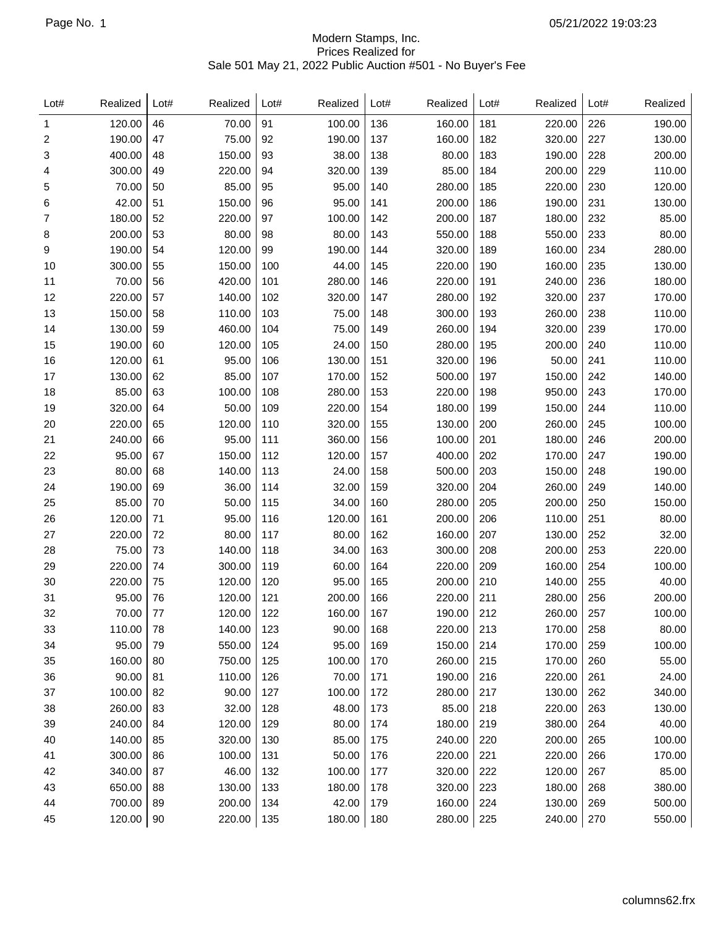## Modern Stamps, Inc. Prices Realized for Sale 501 May 21, 2022 Public Auction #501 - No Buyer's Fee

| 120.00<br>46<br>70.00<br>91<br>100.00<br>136<br>160.00<br>181<br>220.00<br>226<br>1<br>190.00<br>47<br>75.00<br>92<br>190.00<br>137<br>160.00<br>182<br>320.00<br>227<br>2<br>3<br>400.00<br>48<br>150.00<br>93<br>38.00<br>138<br>183<br>190.00<br>228<br>80.00<br>49<br>300.00<br>220.00<br>94<br>320.00<br>139<br>85.00<br>184<br>200.00<br>229<br>4<br>185<br>70.00<br>50<br>85.00<br>95<br>95.00<br>140<br>280.00<br>220.00<br>230<br>5<br>42.00<br>51<br>150.00<br>95.00<br>186<br>96<br>141<br>200.00<br>190.00<br>231<br>6<br>52<br>220.00<br>142<br>200.00<br>187<br>232<br>7<br>180.00<br>97<br>100.00<br>180.00<br>53<br>80.00<br>200.00<br>98<br>80.00<br>143<br>550.00<br>188<br>550.00<br>233<br>8<br>190.00<br>54<br>120.00<br>99<br>190.00<br>320.00<br>189<br>160.00<br>234<br>9<br>144<br>55<br>150.00<br>300.00<br>100<br>44.00<br>145<br>220.00<br>190<br>160.00<br>235<br>10<br>11<br>70.00<br>56<br>420.00<br>101<br>280.00<br>146<br>220.00<br>191<br>240.00<br>236<br>192<br>237<br>12<br>220.00<br>57<br>140.00<br>102<br>320.00<br>147<br>280.00<br>320.00<br>193<br>13<br>150.00<br>58<br>110.00<br>103<br>75.00<br>148<br>300.00<br>260.00<br>238 | Realized | Lot# | Realized | Lot# | Realized | Lot# | Realized | Lot# | Realized | Lot# | Realized | Lot# |
|-------------------------------------------------------------------------------------------------------------------------------------------------------------------------------------------------------------------------------------------------------------------------------------------------------------------------------------------------------------------------------------------------------------------------------------------------------------------------------------------------------------------------------------------------------------------------------------------------------------------------------------------------------------------------------------------------------------------------------------------------------------------------------------------------------------------------------------------------------------------------------------------------------------------------------------------------------------------------------------------------------------------------------------------------------------------------------------------------------------------------------------------------------------------------------|----------|------|----------|------|----------|------|----------|------|----------|------|----------|------|
|                                                                                                                                                                                                                                                                                                                                                                                                                                                                                                                                                                                                                                                                                                                                                                                                                                                                                                                                                                                                                                                                                                                                                                               | 190.00   |      |          |      |          |      |          |      |          |      |          |      |
|                                                                                                                                                                                                                                                                                                                                                                                                                                                                                                                                                                                                                                                                                                                                                                                                                                                                                                                                                                                                                                                                                                                                                                               | 130.00   |      |          |      |          |      |          |      |          |      |          |      |
|                                                                                                                                                                                                                                                                                                                                                                                                                                                                                                                                                                                                                                                                                                                                                                                                                                                                                                                                                                                                                                                                                                                                                                               | 200.00   |      |          |      |          |      |          |      |          |      |          |      |
|                                                                                                                                                                                                                                                                                                                                                                                                                                                                                                                                                                                                                                                                                                                                                                                                                                                                                                                                                                                                                                                                                                                                                                               | 110.00   |      |          |      |          |      |          |      |          |      |          |      |
|                                                                                                                                                                                                                                                                                                                                                                                                                                                                                                                                                                                                                                                                                                                                                                                                                                                                                                                                                                                                                                                                                                                                                                               | 120.00   |      |          |      |          |      |          |      |          |      |          |      |
|                                                                                                                                                                                                                                                                                                                                                                                                                                                                                                                                                                                                                                                                                                                                                                                                                                                                                                                                                                                                                                                                                                                                                                               | 130.00   |      |          |      |          |      |          |      |          |      |          |      |
|                                                                                                                                                                                                                                                                                                                                                                                                                                                                                                                                                                                                                                                                                                                                                                                                                                                                                                                                                                                                                                                                                                                                                                               | 85.00    |      |          |      |          |      |          |      |          |      |          |      |
|                                                                                                                                                                                                                                                                                                                                                                                                                                                                                                                                                                                                                                                                                                                                                                                                                                                                                                                                                                                                                                                                                                                                                                               | 80.00    |      |          |      |          |      |          |      |          |      |          |      |
|                                                                                                                                                                                                                                                                                                                                                                                                                                                                                                                                                                                                                                                                                                                                                                                                                                                                                                                                                                                                                                                                                                                                                                               | 280.00   |      |          |      |          |      |          |      |          |      |          |      |
|                                                                                                                                                                                                                                                                                                                                                                                                                                                                                                                                                                                                                                                                                                                                                                                                                                                                                                                                                                                                                                                                                                                                                                               | 130.00   |      |          |      |          |      |          |      |          |      |          |      |
|                                                                                                                                                                                                                                                                                                                                                                                                                                                                                                                                                                                                                                                                                                                                                                                                                                                                                                                                                                                                                                                                                                                                                                               | 180.00   |      |          |      |          |      |          |      |          |      |          |      |
|                                                                                                                                                                                                                                                                                                                                                                                                                                                                                                                                                                                                                                                                                                                                                                                                                                                                                                                                                                                                                                                                                                                                                                               | 170.00   |      |          |      |          |      |          |      |          |      |          |      |
|                                                                                                                                                                                                                                                                                                                                                                                                                                                                                                                                                                                                                                                                                                                                                                                                                                                                                                                                                                                                                                                                                                                                                                               | 110.00   |      |          |      |          |      |          |      |          |      |          |      |
| 239<br>104                                                                                                                                                                                                                                                                                                                                                                                                                                                                                                                                                                                                                                                                                                                                                                                                                                                                                                                                                                                                                                                                                                                                                                    | 170.00   |      | 320.00   | 194  | 260.00   | 149  | 75.00    |      | 460.00   | 59   | 130.00   | 14   |
| 15<br>190.00<br>60<br>120.00<br>105<br>24.00<br>150<br>280.00<br>195<br>200.00<br>240                                                                                                                                                                                                                                                                                                                                                                                                                                                                                                                                                                                                                                                                                                                                                                                                                                                                                                                                                                                                                                                                                         | 110.00   |      |          |      |          |      |          |      |          |      |          |      |
| 95.00<br>196<br>16<br>120.00<br>61<br>106<br>130.00<br>151<br>320.00<br>50.00<br>241                                                                                                                                                                                                                                                                                                                                                                                                                                                                                                                                                                                                                                                                                                                                                                                                                                                                                                                                                                                                                                                                                          | 110.00   |      |          |      |          |      |          |      |          |      |          |      |
| 17<br>130.00<br>62<br>85.00<br>107<br>170.00<br>152<br>500.00<br>197<br>150.00<br>242                                                                                                                                                                                                                                                                                                                                                                                                                                                                                                                                                                                                                                                                                                                                                                                                                                                                                                                                                                                                                                                                                         | 140.00   |      |          |      |          |      |          |      |          |      |          |      |
| 85.00<br>63<br>100.00<br>198<br>243<br>18<br>108<br>280.00<br>153<br>220.00<br>950.00                                                                                                                                                                                                                                                                                                                                                                                                                                                                                                                                                                                                                                                                                                                                                                                                                                                                                                                                                                                                                                                                                         | 170.00   |      |          |      |          |      |          |      |          |      |          |      |
| 19<br>320.00<br>64<br>50.00<br>109<br>220.00<br>154<br>180.00<br>199<br>150.00<br>244                                                                                                                                                                                                                                                                                                                                                                                                                                                                                                                                                                                                                                                                                                                                                                                                                                                                                                                                                                                                                                                                                         | 110.00   |      |          |      |          |      |          |      |          |      |          |      |
| 65<br>220.00<br>120.00<br>110<br>320.00<br>155<br>130.00<br>200<br>260.00<br>245<br>20                                                                                                                                                                                                                                                                                                                                                                                                                                                                                                                                                                                                                                                                                                                                                                                                                                                                                                                                                                                                                                                                                        | 100.00   |      |          |      |          |      |          |      |          |      |          |      |
| 201<br>21<br>240.00<br>66<br>95.00<br>111<br>360.00<br>156<br>100.00<br>180.00<br>246                                                                                                                                                                                                                                                                                                                                                                                                                                                                                                                                                                                                                                                                                                                                                                                                                                                                                                                                                                                                                                                                                         | 200.00   |      |          |      |          |      |          |      |          |      |          |      |
| 150.00<br>202<br>22<br>95.00<br>67<br>112<br>120.00<br>157<br>400.00<br>170.00<br>247                                                                                                                                                                                                                                                                                                                                                                                                                                                                                                                                                                                                                                                                                                                                                                                                                                                                                                                                                                                                                                                                                         | 190.00   |      |          |      |          |      |          |      |          |      |          |      |
| 68<br>203<br>23<br>80.00<br>140.00<br>113<br>24.00<br>158<br>500.00<br>150.00<br>248                                                                                                                                                                                                                                                                                                                                                                                                                                                                                                                                                                                                                                                                                                                                                                                                                                                                                                                                                                                                                                                                                          | 190.00   |      |          |      |          |      |          |      |          |      |          |      |
| 69<br>204<br>24<br>190.00<br>36.00<br>114<br>32.00<br>159<br>320.00<br>260.00<br>249                                                                                                                                                                                                                                                                                                                                                                                                                                                                                                                                                                                                                                                                                                                                                                                                                                                                                                                                                                                                                                                                                          | 140.00   |      |          |      |          |      |          |      |          |      |          |      |
| 85.00<br>70<br>50.00<br>115<br>34.00<br>160<br>280.00<br>205<br>200.00<br>250<br>25                                                                                                                                                                                                                                                                                                                                                                                                                                                                                                                                                                                                                                                                                                                                                                                                                                                                                                                                                                                                                                                                                           | 150.00   |      |          |      |          |      |          |      |          |      |          |      |
| 26<br>120.00<br>71<br>95.00<br>116<br>120.00<br>161<br>200.00<br>206<br>110.00<br>251                                                                                                                                                                                                                                                                                                                                                                                                                                                                                                                                                                                                                                                                                                                                                                                                                                                                                                                                                                                                                                                                                         | 80.00    |      |          |      |          |      |          |      |          |      |          |      |
| 27<br>220.00<br>72<br>117<br>80.00<br>162<br>160.00<br>207<br>130.00<br>252<br>80.00                                                                                                                                                                                                                                                                                                                                                                                                                                                                                                                                                                                                                                                                                                                                                                                                                                                                                                                                                                                                                                                                                          | 32.00    |      |          |      |          |      |          |      |          |      |          |      |
| 75.00<br>73<br>140.00<br>118<br>34.00<br>163<br>300.00<br>208<br>200.00<br>253<br>28                                                                                                                                                                                                                                                                                                                                                                                                                                                                                                                                                                                                                                                                                                                                                                                                                                                                                                                                                                                                                                                                                          | 220.00   |      |          |      |          |      |          |      |          |      |          |      |
| 220.00<br>74<br>300.00<br>119<br>60.00<br>164<br>220.00<br>209<br>160.00<br>254<br>29                                                                                                                                                                                                                                                                                                                                                                                                                                                                                                                                                                                                                                                                                                                                                                                                                                                                                                                                                                                                                                                                                         | 100.00   |      |          |      |          |      |          |      |          |      |          |      |
| 30<br>220.00<br>75<br>120.00<br>120<br>95.00<br>165<br>200.00<br>210<br>140.00<br>255                                                                                                                                                                                                                                                                                                                                                                                                                                                                                                                                                                                                                                                                                                                                                                                                                                                                                                                                                                                                                                                                                         | 40.00    |      |          |      |          |      |          |      |          |      |          |      |
| 31<br>95.00<br>76<br>120.00<br>121<br>200.00<br>166<br>220.00<br>211<br>280.00<br>256                                                                                                                                                                                                                                                                                                                                                                                                                                                                                                                                                                                                                                                                                                                                                                                                                                                                                                                                                                                                                                                                                         | 200.00   |      |          |      |          |      |          |      |          |      |          |      |
| 70.00<br>77<br>120.00<br>160.00<br>167<br>190.00<br>212<br>260.00<br>257<br>32<br>122                                                                                                                                                                                                                                                                                                                                                                                                                                                                                                                                                                                                                                                                                                                                                                                                                                                                                                                                                                                                                                                                                         | 100.00   |      |          |      |          |      |          |      |          |      |          |      |
| 110.00<br>78<br>140.00<br>123<br>168<br>220.00<br>213<br>170.00<br>258<br>33<br>90.00                                                                                                                                                                                                                                                                                                                                                                                                                                                                                                                                                                                                                                                                                                                                                                                                                                                                                                                                                                                                                                                                                         | 80.00    |      |          |      |          |      |          |      |          |      |          |      |
| 95.00<br>550.00<br>95.00<br>150.00<br>34<br>79<br>124<br>169<br>214<br>170.00<br>259                                                                                                                                                                                                                                                                                                                                                                                                                                                                                                                                                                                                                                                                                                                                                                                                                                                                                                                                                                                                                                                                                          | 100.00   |      |          |      |          |      |          |      |          |      |          |      |
| 35<br>160.00<br>750.00<br>100.00<br>215<br>170.00<br>80<br>125<br>170<br>260.00<br>260                                                                                                                                                                                                                                                                                                                                                                                                                                                                                                                                                                                                                                                                                                                                                                                                                                                                                                                                                                                                                                                                                        | 55.00    |      |          |      |          |      |          |      |          |      |          |      |
| 90.00<br>81<br>110.00<br>126<br>70.00<br>190.00<br>216<br>220.00<br>261<br>36<br>171                                                                                                                                                                                                                                                                                                                                                                                                                                                                                                                                                                                                                                                                                                                                                                                                                                                                                                                                                                                                                                                                                          | 24.00    |      |          |      |          |      |          |      |          |      |          |      |
| 100.00<br>37<br>82<br>90.00<br>127<br>100.00<br>280.00<br>217<br>130.00<br>262<br>172                                                                                                                                                                                                                                                                                                                                                                                                                                                                                                                                                                                                                                                                                                                                                                                                                                                                                                                                                                                                                                                                                         | 340.00   |      |          |      |          |      |          |      |          |      |          |      |
| 32.00<br>85.00<br>38<br>260.00<br>83<br>128<br>48.00<br>173<br>218<br>220.00<br>263                                                                                                                                                                                                                                                                                                                                                                                                                                                                                                                                                                                                                                                                                                                                                                                                                                                                                                                                                                                                                                                                                           | 130.00   |      |          |      |          |      |          |      |          |      |          |      |
| 39<br>240.00<br>84<br>120.00<br>129<br>180.00<br>219<br>380.00<br>264<br>80.00<br>174                                                                                                                                                                                                                                                                                                                                                                                                                                                                                                                                                                                                                                                                                                                                                                                                                                                                                                                                                                                                                                                                                         | 40.00    |      |          |      |          |      |          |      |          |      |          |      |
| 200.00<br>40<br>140.00<br>85<br>320.00<br>130<br>85.00<br>175<br>240.00<br>220<br>265                                                                                                                                                                                                                                                                                                                                                                                                                                                                                                                                                                                                                                                                                                                                                                                                                                                                                                                                                                                                                                                                                         | 100.00   |      |          |      |          |      |          |      |          |      |          |      |
| 300.00<br>41<br>100.00<br>131<br>50.00<br>220.00<br>221<br>220.00<br>266<br>86<br>176                                                                                                                                                                                                                                                                                                                                                                                                                                                                                                                                                                                                                                                                                                                                                                                                                                                                                                                                                                                                                                                                                         | 170.00   |      |          |      |          |      |          |      |          |      |          |      |
| 46.00<br>100.00<br>42<br>340.00<br>87<br>132<br>320.00<br>222<br>120.00<br>267<br>177                                                                                                                                                                                                                                                                                                                                                                                                                                                                                                                                                                                                                                                                                                                                                                                                                                                                                                                                                                                                                                                                                         | 85.00    |      |          |      |          |      |          |      |          |      |          |      |
| 43<br>650.00<br>88<br>130.00<br>133<br>180.00<br>320.00<br>223<br>180.00<br>268<br>178                                                                                                                                                                                                                                                                                                                                                                                                                                                                                                                                                                                                                                                                                                                                                                                                                                                                                                                                                                                                                                                                                        | 380.00   |      |          |      |          |      |          |      |          |      |          |      |
| 89<br>42.00<br>130.00<br>269<br>44<br>700.00<br>200.00<br>134<br>179<br>160.00<br>224                                                                                                                                                                                                                                                                                                                                                                                                                                                                                                                                                                                                                                                                                                                                                                                                                                                                                                                                                                                                                                                                                         | 500.00   |      |          |      |          |      |          |      |          |      |          |      |
| 120.00<br>240.00<br>270<br>45<br>90<br>220.00<br>135<br>180.00<br>180<br>280.00<br>225                                                                                                                                                                                                                                                                                                                                                                                                                                                                                                                                                                                                                                                                                                                                                                                                                                                                                                                                                                                                                                                                                        | 550.00   |      |          |      |          |      |          |      |          |      |          |      |